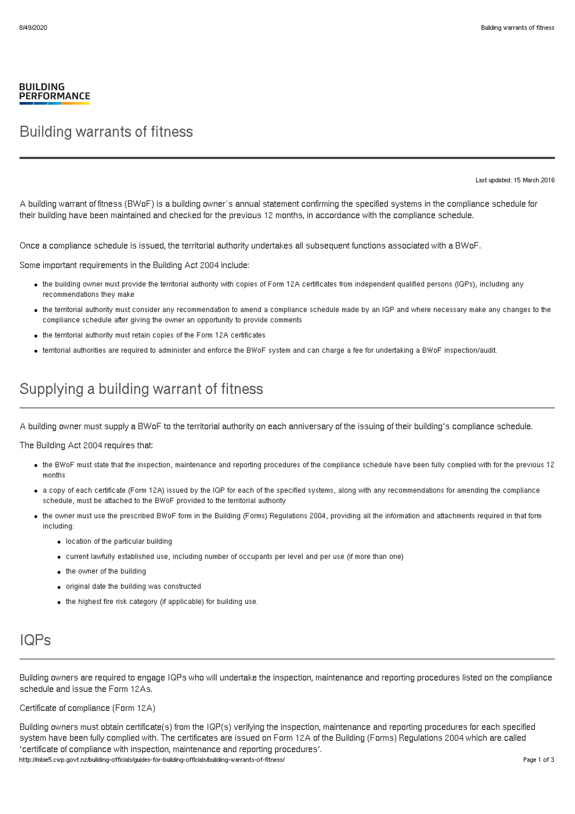#### **BUILDING PERFORMANCE**

### Building warrants of fitness

Last updated: 15 March 2016

A building warrant of fitness (BWoF) is a building owner's annual statement confirming the specified systems in the compliance schedule for their building have been maintained and checked for the previous 12 months, in accordance with the compliance schedule.

Once a compliance schedule is issued, the territorial authority undertakes all subsequent functions associated with a BWoF.

Some important requirements in the Building Act 2004 include:

- the building owner must provide the territorial authority with copies of Form 12A certificates from independent qualified persons (IQPs), including any recommendations they make
- the territorial authority must consider any recommendation to amend a compliance schedule made by an IQP and where necessary make any changes to the compliance schedule after giving the owner an opportunity to provide comments
- the territorial authority must retain copies of the Form 12A certificates
- territorial authorities are required to administer and enforce the BWoF system and can charge a fee for undertaking a BWoF inspection/audit.

## Supplying a building warrant of fitness

A building owner must supply a BWoF to the territorial authority on each anniversary of the issuing of their building's compliance schedule.

The Building Act 2004 requires that:

- the BWoF must state that the inspection, maintenance and reporting procedures of the compliance schedule have been fully complied with for the previous 12 months
- a copy of each certificate (Form 12A) issued by the IQP for each of the specified systems, along with any recommendations for amending the compliance schedule, must be attached to the BWoF provided to the territorial authority
- the owner must use the prescribed BWoF form in the Building (Forms) Regulations 2004, providing all the information and attachments required in that form including:
	- location of the particular building
	- current lawfully established use, including number of occupants per level and per use (if more than one)
	- the owner of the building
	- original date the building was constructed
	- the highest fire risk category (if applicable) for building use.

# IQPs

Building owners are required to engage IQPs who will undertake the inspection, maintenance and reporting procedures listed on the compliance schedule and issue the Form 12As.

Certificate of compliance (Form 12A)

Building owners must obtain certificate(s) from the IQP(s) verifying the inspection, maintenance and reporting procedures for each specified system have been fully complied with. The certificates are issued on Form 12A of the Building (Forms) Regulations 2004 which are called 'certificate of compliance with inspection, maintenance and reporting procedures'. http://mbie5.cwp.govt.nz/building-officials/guides-for-building-officials/building-warrants-of-fitness/ Page 1 of 3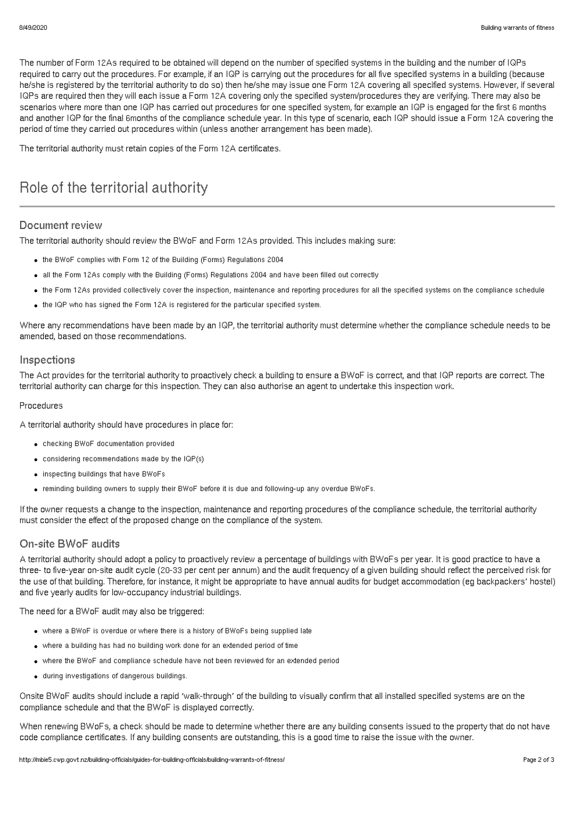The number of Form 12As required to be obtained will depend on the number of specified systems in the building and the number of IQPs required to carry out the procedures. For example, if an IQP is carrying out the procedures for all five specified systems in a building (because he/she is registered by the territorial authority to do so) then he/she may issue one Form 12A covering all specified systems. However, if several IQPs are required then they will each issue a Form 12A covering only the specified system/procedures they are verifying. There may also be scenarios where more than one IQP has carried out procedures for one specified system, for example an IQP is engaged for the first 6 months and another IQP for the final 6months of the compliance schedule year. In this type of scenario, each IQP should issue a Form 12A covering the period of time they carried out procedures within (unless another arrangement has been made).

The territorial authority must retain copies of the Form 12A certificates.

# Role of the territorial authority

### Document review

The territorial authority should review the BWoF and Form 12As provided. This includes making sure:

- the BWoF complies with Form 12 of the Building (Forms) Regulations 2004
- all the Form 12As comply with the Building (Forms) Regulations 2004 and have been filled out correctly
- the Form 12As provided collectively cover the inspection, maintenance and reporting procedures for all the specified systems on the compliance schedule
- the IQP who has signed the Form 12A is registered for the particular specified system.

Where any recommendations have been made by an IQP, the territorial authority must determine whether the compliance schedule needs to be amended, based on those recommendations.

### Inspections

The Act provides for the territorial authority to proactively check a building to ensure a BWoF is correct, and that IQP reports are correct. The territorial authority can charge for this inspection. They can also authorise an agent to undertake this inspection work.

#### Procedures

A territorial authority should have procedures in place for:

- checking BWoF documentation provided
- considering recommendations made by the IQP(s)
- inspecting buildings that have BWoFs
- reminding building owners to supply their BWoF before it is due and following-up any overdue BWoFs.

If the owner requests a change to the inspection, maintenance and reporting procedures of the compliance schedule, the territorial authority must consider the effect of the proposed change on the compliance of the system.

### On-site BWoF audits

A territorial authority should adopt a policy to proactively review a percentage of buildings with BWoFs per year. It is good practice to have a three- to five-year on-site audit cycle (20-33 per cent per annum) and the audit frequency of a given building should reflect the perceived risk for the use of that building. Therefore, for instance, it might be appropriate to have annual audits for budget accommodation (eg backpackers' hostel) and five yearly audits for low-occupancy industrial buildings.

The need for a BWoF audit may also be triggered:

- where a BWoF is overdue or where there is a history of BWoFs being supplied late
- where a building has had no building work done for an extended period of time
- where the BWoF and compliance schedule have not been reviewed for an extended period
- during investigations of dangerous buildings.

Onsite BWoF audits should include a rapid 'walk-through' of the building to visually confirm that all installed specified systems are on the compliance schedule and that the BWoF is displayed correctly.

When renewing BWoFs, a check should be made to determine whether there are any building consents issued to the property that do not have code compliance certificates. If any building consents are outstanding, this is a good time to raise the issue with the owner.